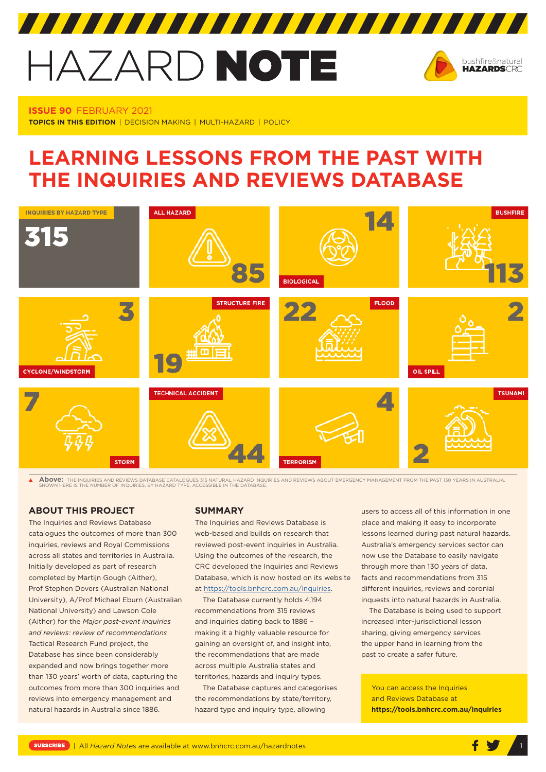# HAZARD NOTE



**ISSUE 90** FEBRUARY 2021 **TOPICS IN THIS EDITION** | DECISION MAKING | MULTI-HAZARD | POLICY

# **LEARNING LESSONS FROM THE PAST WITH THE INQUIRIES AND REVIEWS DATABASE**



 $\blacktriangle$ **Above:** The Inquiries and reviews database catalogues 315 natural hazard inquiries and reviews about emergency management from the past 130 years in australia.<br>Shown here is the number of Inquiries, by hazard type, access

# **ABOUT THIS PROJECT**

The Inquiries and Reviews Database catalogues the outcomes of more than 300 inquiries, reviews and Royal Commissions across all states and territories in Australia. Initially developed as part of research completed by Martijn Gough (Aither), Prof Stephen Dovers (Australian National University), A/Prof Michael Eburn (Australian National University) and Lawson Cole (Aither) for the *Major post-event inquiries and reviews: review of recommendations* Tactical Research Fund project, the Database has since been considerably expanded and now brings together more than 130 years' worth of data, capturing the outcomes from more than 300 inquiries and reviews into emergency management and natural hazards in Australia since 1886.

# **SUMMARY**

The Inquiries and Reviews Database is web-based and builds on research that reviewed post-event inquiries in Australia. Using the outcomes of the research, the CRC developed the Inquiries and Reviews Database, which is now hosted on its website at [https://tools.bnhcrc.com.au/inquiries.](https://tools.bnhcrc.com.au/inquiries)

The Database currently holds 4,194 recommendations from 315 reviews and inquiries dating back to 1886 – making it a highly valuable resource for gaining an oversight of, and insight into, the recommendations that are made across multiple Australia states and territories, hazards and inquiry types.

The Database captures and categorises the recommendations by state/territory, hazard type and inquiry type, allowing

users to access all of this information in one place and making it easy to incorporate lessons learned during past natural hazards. Australia's emergency services sector can now use the Database to easily navigate through more than 130 years of data, facts and recommendations from 315 different inquiries, reviews and coronial inquests into natural hazards in Australia.

The Database is being used to support increased inter-jurisdictional lesson sharing, giving emergency services the upper hand in learning from the past to create a safer future.

You can access the Inquiries and Reviews Database at **<https://tools.bnhcrc.com.au/inquiries>** 

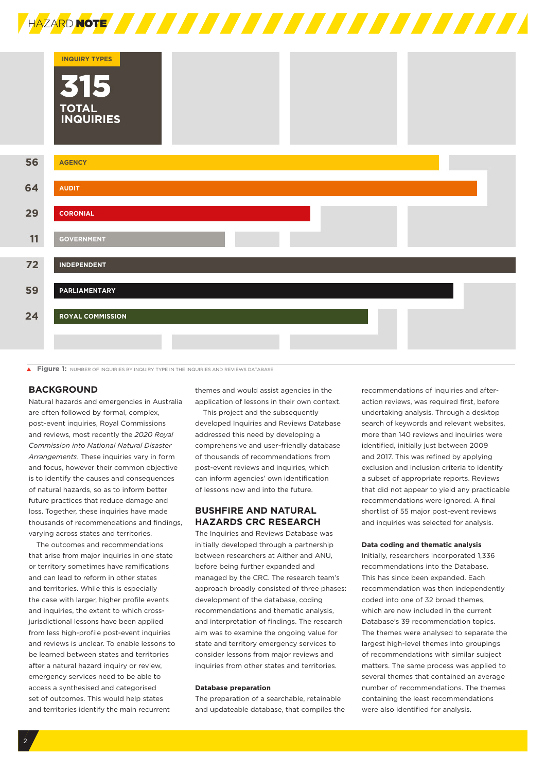

|    | <b>INQUIRY TYPES</b><br>315<br><b>TOTAL</b><br><b>INQUIRIES</b> |
|----|-----------------------------------------------------------------|
| 56 | <b>AGENCY</b>                                                   |
| 64 | <b>AUDIT</b>                                                    |
| 29 | <b>CORONIAL</b>                                                 |
| 11 | <b>GOVERNMENT</b>                                               |
| 72 | <b>INDEPENDENT</b>                                              |
| 59 | <b>PARLIAMENTARY</b>                                            |
| 24 | <b>ROYAL COMMISSION</b>                                         |

**FIGURE 1:** NUMBER OF INQUIRIES BY INQUIRY TYPE IN THE INQUIRIES AND REVIEWS DATABASE

# **BACKGROUND**

Natural hazards and emergencies in Australia are often followed by formal, complex, post-event inquiries, Royal Commissions and reviews, most recently the *2020 Royal Commission into National Natural Disaster Arrangements*. These inquiries vary in form and focus, however their common objective is to identify the causes and consequences of natural hazards, so as to inform better future practices that reduce damage and loss. Together, these inquiries have made thousands of recommendations and findings, varying across states and territories.

The outcomes and recommendations that arise from major inquiries in one state or territory sometimes have ramifications and can lead to reform in other states and territories. While this is especially the case with larger, higher profile events and inquiries, the extent to which crossjurisdictional lessons have been applied from less high-profile post-event inquiries and reviews is unclear. To enable lessons to be learned between states and territories after a natural hazard inquiry or review, emergency services need to be able to access a synthesised and categorised set of outcomes. This would help states and territories identify the main recurrent

themes and would assist agencies in the application of lessons in their own context.

This project and the subsequently developed Inquiries and Reviews Database addressed this need by developing a comprehensive and user-friendly database of thousands of recommendations from post-event reviews and inquiries, which can inform agencies' own identification of lessons now and into the future.

# **BUSHFIRE AND NATURAL HAZARDS CRC RESEARCH**

The Inquiries and Reviews Database was initially developed through a partnership between researchers at Aither and ANU, before being further expanded and managed by the CRC. The research team's approach broadly consisted of three phases: development of the database, coding recommendations and thematic analysis, and interpretation of findings. The research aim was to examine the ongoing value for state and territory emergency services to consider lessons from major reviews and inquiries from other states and territories.

#### **Database preparation**

The preparation of a searchable, retainable and updateable database, that compiles the

recommendations of inquiries and afteraction reviews, was required first, before undertaking analysis. Through a desktop search of keywords and relevant websites, more than 140 reviews and inquiries were identified, initially just between 2009 and 2017. This was refined by applying exclusion and inclusion criteria to identify a subset of appropriate reports. Reviews that did not appear to yield any practicable recommendations were ignored. A final shortlist of 55 major post-event reviews and inquiries was selected for analysis.

#### **Data coding and thematic analysis**

Initially, researchers incorporated 1,336 recommendations into the Database. This has since been expanded. Each recommendation was then independently coded into one of 32 broad themes, which are now included in the current Database's 39 recommendation topics. The themes were analysed to separate the largest high-level themes into groupings of recommendations with similar subject matters. The same process was applied to several themes that contained an average number of recommendations. The themes containing the least recommendations were also identified for analysis.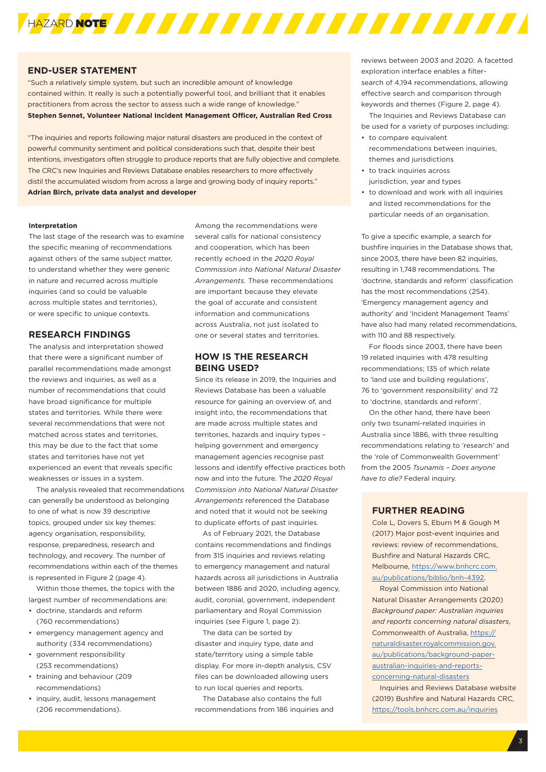

#### **END-USER STATEMENT**

"Such a relatively simple system, but such an incredible amount of knowledge contained within. It really is such a potentially powerful tool, and brilliant that it enables practitioners from across the sector to assess such a wide range of knowledge." **Stephen Sennet, Volunteer National Incident Management Officer, Australian Red Cross** 

"The inquiries and reports following major natural disasters are produced in the context of powerful community sentiment and political considerations such that, despite their best intentions, investigators often struggle to produce reports that are fully objective and complete. The CRC's new Inquiries and Reviews Database enables researchers to more effectively distil the accumulated wisdom from across a large and growing body of inquiry reports." **Adrian Birch, private data analyst and developer**

#### **Interpretation**

The last stage of the research was to examine the specific meaning of recommendations against others of the same subject matter, to understand whether they were generic in nature and recurred across multiple inquiries (and so could be valuable across multiple states and territories), or were specific to unique contexts.

### **RESEARCH FINDINGS**

The analysis and interpretation showed that there were a significant number of parallel recommendations made amongst the reviews and inquiries, as well as a number of recommendations that could have broad significance for multiple states and territories. While there were several recommendations that were not matched across states and territories, this may be due to the fact that some states and territories have not yet experienced an event that reveals specific weaknesses or issues in a system.

The analysis revealed that recommendations can generally be understood as belonging to one of what is now 39 descriptive topics, grouped under six key themes: agency organisation, responsibility, response, preparedness, research and technology, and recovery. The number of recommendations within each of the themes is represented in Figure 2 (page 4).

Within those themes, the topics with the largest number of recommendations are:

- doctrine, standards and reform (760 recommendations)
- emergency management agency and authority (334 recommendations)
- government responsibility (253 recommendations)
- training and behaviour (209 recommendations)
- inquiry, audit, lessons management (206 recommendations).

Among the recommendations were several calls for national consistency and cooperation, which has been recently echoed in the *2020 Royal Commission into National Natural Disaster Arrangements.* These recommendations are important because they elevate the goal of accurate and consistent information and communications across Australia, not just isolated to one or several states and territories.

# **HOW IS THE RESEARCH BEING USED?**

Since its release in 2019, the Inquiries and Reviews Database has been a valuable resource for gaining an overview of, and insight into, the recommendations that are made across multiple states and territories, hazards and inquiry types – helping government and emergency management agencies recognise past lessons and identify effective practices both now and into the future. The *2020 Royal Commission into National Natural Disaster Arrangements* referenced the Database and noted that it would not be seeking to duplicate efforts of past inquiries.

As of February 2021, the Database contains recommendations and findings from 315 inquiries and reviews relating to emergency management and natural hazards across all jurisdictions in Australia between 1886 and 2020, including agency, audit, coronial, government, independent parliamentary and Royal Commission inquiries (see Figure 1, page 2).

The data can be sorted by disaster and inquiry type, date and state/territory using a simple table display. For more in-depth analysis, CSV files can be downloaded allowing users to run local queries and reports.

The Database also contains the full recommendations from 186 inquiries and reviews between 2003 and 2020. A facetted exploration interface enables a filtersearch of 4,194 recommendations, allowing effective search and comparison through keywords and themes (Figure 2, page 4).

The Inquiries and Reviews Database can be used for a variety of purposes including:

- to compare equivalent recommendations between inquiries, themes and jurisdictions
- to track inquiries across jurisdiction, year and types
- to download and work with all inquiries and listed recommendations for the particular needs of an organisation.

To give a specific example, a search for bushfire inquiries in the Database shows that, since 2003, there have been 82 inquiries resulting in 1,748 recommendations. The 'doctrine, standards and reform' classification has the most recommendations (254). 'Emergency management agency and authority' and 'Incident Management Teams' have also had many related recommendations, with 110 and 88 respectively.

For floods since 2003, there have been 19 related inquiries with 478 resulting recommendations; 135 of which relate to 'land use and building regulations', 76 to 'government responsibility' and 72 to 'doctrine, standards and reform'.

On the other hand, there have been only two tsunami-related inquiries in Australia since 1886, with three resulting recommendations relating to 'research' and the 'role of Commonwealth Government' from the 2005 *Tsunamis – Does anyone have to die?* Federal inquiry.

# **FURTHER READING**

Cole L, Dovers S, Eburn M & Gough M (2017) Major post-event inquiries and reviews: review of recommendations, Bushfire and Natural Hazards CRC, Melbourne, [https://www.bnhcrc.com.](https://www.bnhcrc.com.au/publications/biblio/bnh-4392) [au/publications/biblio/bnh-4392.](https://www.bnhcrc.com.au/publications/biblio/bnh-4392)

Royal Commission into National Natural Disaster Arrangements (2020) *Background paper: Australian inquiries and reports concerning natural disasters*, Commonwealth of Australia, https:// naturaldisaster.royalcommission.gov. au/publications/background-paperaustralian-inquiries-and-reportsconcerning-natural-disasters

Inquiries and Reviews Database website (2019) Bushfire and Natural Hazards CRC, <https://tools.bnhcrc.com.au/inquiries>